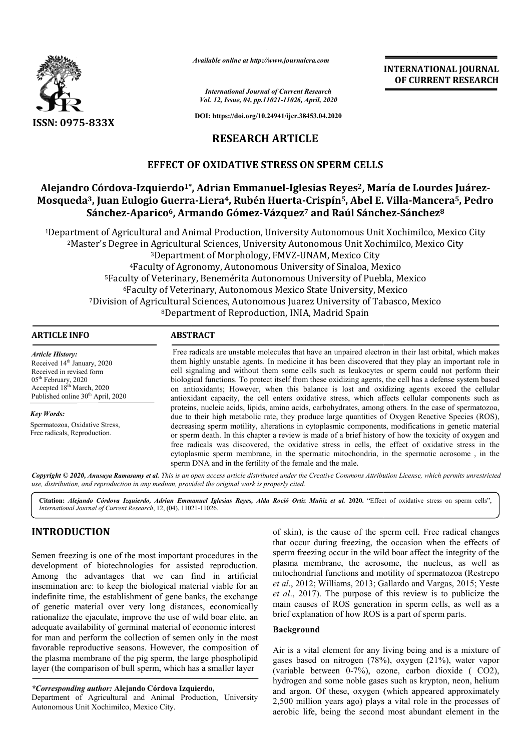

*Available online at http://www.journalcra.com*

*International Journal of Current Research Vol. 12, Issue, 04, pp.11021-11026, April, 2020*

**DOI: https://doi.org/10.24941/ijcr.38453.04.2020**

# **RESEARCH ARTICLE**

## **EFFECT OF OXIDATIVE STRESS ON SPERM CELLS**

# Alejandro Córdova-Izquierdo<sup>1</sup>\*, Adrian Emmanuel-Iglesias Reyes<sup>2</sup>, María de Lourdes Juárez-Mosqueda<sup>3</sup>, Juan Eulogio Guerra-Liera<sup>4</sup>, Rubén Huerta-Crispín<sup>5</sup>, Abel E. Villa-Mancera<sup>5</sup>, Pedro **Sánchez-Aparico6, Armando Gómez , Gómez-Vázquez7 and Raúl Sánchez Sánchez-Sánchez8**

1Department of Agricultural and Animal Production, University Autonomous Unit Xochimilco, Mexico City 2Master's Degree in Agricultural Sciences, University Autonomous Unit Xochimilco, Mexico City <sup>3</sup>Department of Morphology, FMVZ-UNAM, Mexico City ee in Agricultural Sciences, University Autonomous Unit Xochimil<br><sup>3</sup>Department of Morphology, FMVZ-UNAM, Mexico City<br>4Faculty of Agronomy, Autonomous University of Sinaloa, Mexico 5Faculty of Veterinary, B Faculty Faculty Benemérita Autonomous University of Puebla, Mexico enemérita 6Faculty of Veterinary, Autonomous Mexico State University, Mexico 7Division of Agricultural Sciences, Autonomous Juarez University of Tabasco, Mexico 8Department of Reproduction, INIA, Madrid Spain Department of Agricultural and Animal Production, University Autonomous Uni<br><sup>2</sup>Master's Degree in Agricultural Sciences, University Autonomous Unit Xoc<sup>3</sup>Department of Morphology, FMVZ-UNAM, Mexico City <sup>6</sup>Faculty of Veterinary,<br>Division of Agricultural Scienc<br><sup>8</sup>Department Division of Agricultural Sciences, Autonomous Juarez University of Tabasco, Mexico

## **ARTICLE INFO ABSTRACT**

*Article History:* Received 14<sup>th</sup> January, 2020 Received in revised form 05th February, 2020 Accepted 18<sup>th</sup> March, 2020 Published online  $30<sup>th</sup>$  April, 2020

*Key Words:* Spermatozoa, Oxidative Stress, Free radicals, Reproduction.

Free radicals are unstable molecules that have an unpaired electron in their last orbital, which makes them highly unstable agents. In medicine it has been discovered that they play an important role in cell signaling and without t them some cells such as leukocytes or sperm could not perform their biological functions. To protect itself from these oxidizing agents, the cell has a defense system based Free radicals are unstable molecules that have an unpaired electron in their last orbital, which makes them highly unstable agents. In medicine it has been discovered that they play an important role in cell signaling and antioxidant capacity, the cell enters oxidative stress, which affects cellular components such as proteins, nucleic acids, lipids, amino acids, carbohydrates, among others. In the case of spermatozoa, due to their high metabolic rate, they produce large quantities of Oxygen Reactive Species (ROS), decreasing sperm motility, alterations in cytoplasmic components, modifications in genetic material or sperm death. In this chapter a review is made of a brief history of how the toxicity of oxygen and free radicals was discovered, the oxidative stress in cells, the effect of oxidative stress in the antioxidant capacity, the cell enters oxidative stress, which affects cellular components such as<br>proteins, nucleic acids, lipids, amino acids, carbohydrates, among others. In the case of spermatozoa,<br>due to their high met sperm DNA and in the fertility of the female and the male. INTERNATIONAL JOURNAL<br> **IDENTIFIERNATIONAL JOURNAL**<br> **IDENTIFIERNATIONAL JOURNAL**<br> **IDENTIFIERNATIONAL JOURNAL**<br> **IDENTIFIERNATION CONTRESS (SEE 1991)**<br> **SEE ARY AND EXECT THE CONTRESS PART CONTRESS PROPERTIFIES, SREVES <sup>3**</sup>

Copyright © 2020, Anusuya Ramasamy et al. This is an open access article distributed under the Creative Commons Attribution License, which permits unrestricted *use, distribution, and reproduction in any medium, provided the original work is properly cited.*

Citation: Alejando Córdova Izquierdo, Adrian Emmanuel Iglesias Reyes, Alda Roció Ortiz Muñiz et al. 2020. "Effect of oxidative stress on sperm cells", *International Journal of Current Research*, 12, (04), 11021 11021-11026.

# **INTRODUCTION**

Semen freezing is one of the most important procedures in the development of biotechnologies for assisted reproduction. Among the advantages that we can find in artificial insemination are: to keep the biological material viable for an indefinite time, the establishment of gene banks, the exchange of genetic material over very long distances, economically rationalize the ejaculate, improve the use of wild boar elite, an adequate availability of germinal material of economic interest for man and perform the collection of semen only in the most favorable reproductive seasons. However, the composition of the plasma membrane of the pig sperm, the large phospholipid layer (the comparison of bull sperm, which has a smaller layer ological material viable for an<br>t of gene banks, the exchange<br>long distances, economically<br>e the use of wild boar elite, an<br>l material of economic interest<br>ion of semen only in the mos<br>However, the composition of<br>sperm, th

#### *\*Corresponding author:* **Alejando Córdova Izquierdo,**

Department of Agricultural and Animal Production, University Autonomous Unit Xochimilco, Mexico City.

of skin), is the cause of the sperm cell. Free radical changes that occur during freezing, the occasion when the effects of sperm freezing occur in the wild boar affect the integrity of the plasma membrane, the acrosome, the nucleus, as well as mitochondrial functions and motility of spermatozoa (Restrepo *et al*., 2012; Williams, 2013; Gallardo and Vargas, 2015; Yeste *et al*., 2017). The purpose of this review is to publicize the main causes of ROS generation in sperm cells, as well as a brief explanation of how ROS is a part of sperm parts. of skin), is the cause of the sperm cell. Free radical changes<br>that occur during freezing, the occasion when the effects of<br>sperm freezing occur in the wild boar affect the integrity of the<br>plasma membrane, the acrosome,

**INTERNATIONAL JOURNAL OF CURRENT RESEARCH**

#### **Background**

Air is a vital element for any living being and is a mixture of gases based on nitrogen (78%), oxygen (21%), water vapor (variable between 0-7%), ozone, carbon dioxide ( CO2), hydrogen and some noble gases such as krypton, neon, helium and argon. Of these, oxygen (which appeared approximately 2,500 million years ago) plays a vital role in the processes of aerobic life, being the second most abundant element in the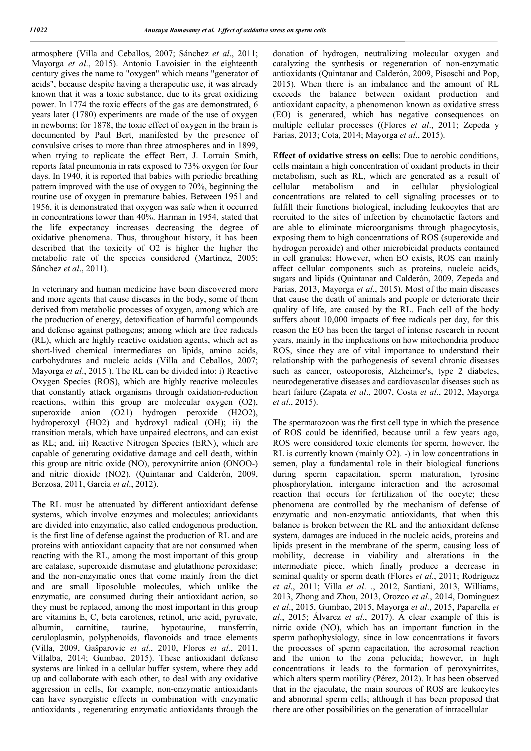atmosphere (Villa and Ceballos, 2007; Sánchez *et al*., 2011; Mayorga *et al*., 2015). Antonio Lavoisier in the eighteenth century gives the name to "oxygen" which means "generator of acids", because despite having a therapeutic use, it was already known that it was a toxic substance, due to its great oxidizing power. In 1774 the toxic effects of the gas are demonstrated, 6 years later (1780) experiments are made of the use of oxygen in newborns; for 1878, the toxic effect of oxygen in the brain is documented by Paul Bert, manifested by the presence of convulsive crises to more than three atmospheres and in 1899, when trying to replicate the effect Bert, J. Lorrain Smith, reports fatal pneumonia in rats exposed to 73% oxygen for four days. In 1940, it is reported that babies with periodic breathing pattern improved with the use of oxygen to 70%, beginning the routine use of oxygen in premature babies. Between 1951 and 1956, it is demonstrated that oxygen was safe when it occurred in concentrations lower than 40%. Harman in 1954, stated that the life expectancy increases decreasing the degree of oxidative phenomena. Thus, throughout history, it has been described that the toxicity of O2 is higher the higher the metabolic rate of the species considered (Martínez, 2005; Sánchez *et al*., 2011).

In veterinary and human medicine have been discovered more and more agents that cause diseases in the body, some of them derived from metabolic processes of oxygen, among which are the production of energy, detoxification of harmful compounds and defense against pathogens; among which are free radicals (RL), which are highly reactive oxidation agents, which act as short-lived chemical intermediates on lipids, amino acids, carbohydrates and nucleic acids (Villa and Ceballos, 2007; Mayorga *et al*., 2015 ). The RL can be divided into: i) Reactive Oxygen Species (ROS), which are highly reactive molecules that constantly attack organisms through oxidation-reduction reactions, within this group are molecular oxygen (O2), superoxide anion (O21) hydrogen peroxide (H2O2), hydroperoxyl (HO2) and hydroxyl radical (OH); ii) the transition metals, which have unpaired electrons, and can exist as RL; and, iii) Reactive Nitrogen Species (ERN), which are capable of generating oxidative damage and cell death, within this group are nitric oxide (NO), peroxynitrite anion (ONOO-) and nitric dioxide (NO2). (Quintanar and Calderón, 2009, Berzosa, 2011, García *et al*., 2012).

The RL must be attenuated by different antioxidant defense systems, which involve enzymes and molecules; antioxidants are divided into enzymatic, also called endogenous production, is the first line of defense against the production of RL and are proteins with antioxidant capacity that are not consumed when reacting with the RL, among the most important of this group are catalase, superoxide dismutase and glutathione peroxidase; and the non-enzymatic ones that come mainly from the diet and are small liposoluble molecules, which unlike the enzymatic, are consumed during their antioxidant action, so they must be replaced, among the most important in this group are vitamins E, C, beta carotenes, retinol, uric acid, pyruvate, albumin, carnitine, taurine, hypotaurine, transferrin, ceruloplasmin, polyphenoids, flavonoids and trace elements (Villa, 2009, Gašparovic *et al*., 2010, Flores *et al*., 2011, Villalba, 2014; Gumbao, 2015). These antioxidant defense systems are linked in a cellular buffer system, where they add up and collaborate with each other, to deal with any oxidative aggression in cells, for example, non-enzymatic antioxidants can have synergistic effects in combination with enzymatic antioxidants , regenerating enzymatic antioxidants through the

donation of hydrogen, neutralizing molecular oxygen and catalyzing the synthesis or regeneration of non-enzymatic antioxidants (Quintanar and Calderón, 2009, Pisoschi and Pop, 2015). When there is an imbalance and the amount of RL exceeds the balance between oxidant production and antioxidant capacity, a phenomenon known as oxidative stress (EO) is generated, which has negative consequences on multiple cellular processes ((Flores *et al*., 2011; Zepeda y Farías, 2013; Cota, 2014; Mayorga *et al*., 2015).

**Effect of oxidative stress on cell**s: Due to aerobic conditions, cells maintain a high concentration of oxidant products in their metabolism, such as RL, which are generated as a result of cellular metabolism and in cellular physiological metabolism and in cellular physiological concentrations are related to cell signaling processes or to fulfill their functions biological, including leukocytes that are recruited to the sites of infection by chemotactic factors and are able to eliminate microorganisms through phagocytosis, exposing them to high concentrations of ROS (superoxide and hydrogen peroxide) and other microbicidal products contained in cell granules; However, when EO exists, ROS can mainly affect cellular components such as proteins, nucleic acids, sugars and lipids (Quintanar and Calderón, 2009, Zepeda and Farías, 2013, Mayorga *et al*., 2015). Most of the main diseases that cause the death of animals and people or deteriorate their quality of life, are caused by the RL. Each cell of the body suffers about 10,000 impacts of free radicals per day, for this reason the EO has been the target of intense research in recent years, mainly in the implications on how mitochondria produce ROS, since they are of vital importance to understand their relationship with the pathogenesis of several chronic diseases such as cancer, osteoporosis, Alzheimer's, type 2 diabetes, neurodegenerative diseases and cardiovascular diseases such as heart failure (Zapata *et al*., 2007, Costa *et al*., 2012, Mayorga *et al*., 2015).

The spermatozoon was the first cell type in which the presence of ROS could be identified, because until a few years ago, ROS were considered toxic elements for sperm, however, the RL is currently known (mainly O2). -) in low concentrations in semen, play a fundamental role in their biological functions during sperm capacitation, sperm maturation, tyrosine phosphorylation, intergame interaction and the acrosomal reaction that occurs for fertilization of the oocyte; these phenomena are controlled by the mechanism of defense of enzymatic and non-enzymatic antioxidants, that when this balance is broken between the RL and the antioxidant defense system, damages are induced in the nucleic acids, proteins and lipids present in the membrane of the sperm, causing loss of mobility, decrease in viability and alterations in the intermediate piece, which finally produce a decrease in seminal quality or sperm death (Flores *et al*., 2011; Rodríguez *et al*., 2011; Villa *et al*. ., 2012, Santiani, 2013, Williams, 2013, Zhong and Zhou, 2013, Orozco *et al*., 2014, Dominguez *et al*., 2015, Gumbao, 2015, Mayorga *et al*., 2015, Paparella *et al*., 2015; Álvarez *et al*., 2017). A clear example of this is nitric oxide (NO), which has an important function in the sperm pathophysiology, since in low concentrations it favors the processes of sperm capacitation, the acrosomal reaction and the union to the zona pelucida; however, in high concentrations it leads to the formation of peroxynitrites, which alters sperm motility (Pérez, 2012). It has been observed that in the ejaculate, the main sources of ROS are leukocytes and abnormal sperm cells; although it has been proposed that there are other possibilities on the generation of intracellular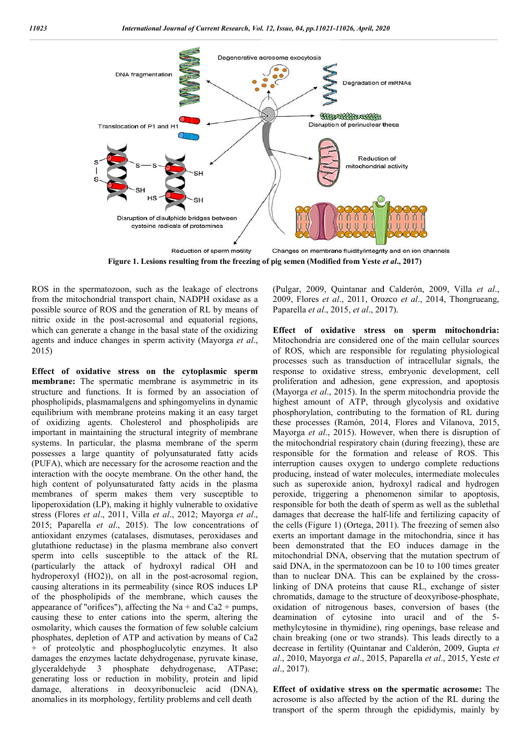

**Figure 1. Lesions resulting from the freezing of pig semen (Modified from Yeste**  *et al*

ROS in the spermatozoon, such as the leakage of electrons from the mitochondrial transport chain, NADPH oxidase as a possible source of ROS and the generation of RL by means of nitric oxide in the post-acrosomal and equatorial regions, which can generate a change in the basal state of the oxidizing agents and induce changes in sperm activity (Mayorga *et al*., 2015)

**Effect of oxidative stress on the cytoplasmic sperm membrane:** The spermatic membrane is asymmetric in its structure and functions. It is formed by an association of phospholipids, plasmamalgens and sphingomyelins in dynamic equilibrium with membrane proteins making it an easy target of oxidizing agents. Cholesterol and phospholipids are important in maintaining the structural integrity of membrane systems. In particular, the plasma membrane of the sperm possesses a large quantity of polyunsaturated fatty acids (PUFA), which are necessary for the acrosome reaction and the interaction with the oocyte membrane. On the other hand, the high content of polyunsaturated fatty acids in the plasma membranes of sperm makes them very susceptible to lipoperoxidation (LP), making it highly vulnerable to oxidative stress (Flores *et al*., 2011, Villa *et al*., 2012; Mayorga *et al*., 2015; Paparella *et al*., 2015). The low concentrations of antioxidant enzymes (catalases, dismutases, peroxidases and glutathione reductase) in the plasma membrane also convert sperm into cells susceptible to the attack of the RL (particularly the attack of hydroxyl radical OH and hydroperoxyl (HO2)), on all in the post-acrosomal region, causing alterations in its permeability (since ROS induces LP of the phospholipids of the membrane, which causes the appearance of "orifices"), affecting the Na + and Ca2 + pumps, causing these to enter cations into the sperm, altering the osmolarity, which causes the formation of few soluble calcium phosphates, depletion of ATP and activation by means of Ca2 + of proteolytic and phosphoglucolytic enzymes. It also damages the enzymes lactate dehydrogenase, pyruvate kinase, glyceraldehyde 3 phosphate dehydrogenase, ATPase; generating loss or reduction in mobility, protein and lipid damage, alterations in deoxyribonucleic acid (DNA), anomalies in its morphology, fertility problems and cell death to cells susceptible to the attack of the RL<br>
dy the attack of hydroxyl radical OH and<br>
xyl (HO2)), on all in the post-acrosomal region,<br>
terations in its permeability (since ROS induces LP<br>
nospholipids of the membrane, w (Pulgar, 2009, Quintanar and Calderón, 2009, Villa (Pulgar, 2009, Quintanar *et al*., 2009, Flores *et al*., 2011, Orozco *et al*., 2014, Thongrueang, Paparella *et al*., 2015, *et al*., 2017).

**Effect of oxidative stress on sperm mitochondria: of** Mitochondria are considered one of the main cellular sources of ROS, which are responsible for regulating physiological processes such as transduction of intracellular signals, the response to oxidative stress, embryonic development, cell proliferation and adhesion, gene expression, and apoptosis (Mayorga *et al*., 2015). In the sperm mitochondria provide the highest amount of ATP, through glycolysis and oxidative phosphorylation, contributing to the formation of RL during these processes (Ramón, 2014, Flores and Vilanova, 2015, Mayorga *et al*., 2015). However, when there is disruption of the mitochondrial respiratory chain (during freezing), these are responsible for the formation and release of ROS. This interruption causes oxygen to undergo complete reductions producing, instead of water molecules, intermediate molecules such as superoxide anion, hydroxyl radical and hydrogen peroxide, triggering a phenomenon similar to apoptosis, responsible for both the death of sperm as well as the sublethal damages that decrease the half-life and fertilizing capacity of the cells (Figure 1) (Ortega, 2011). The freezing of semen also exerts an important damage in the mitochondria, since it has been demonstrated that the EO induces damage in the mitochondrial DNA, observing that the mutation spectrum of said DNA, in the spermatozoon can be 10 to 100 times greater mitochondrial DNA, observing that the mutation spectrum of said DNA, in the spermatozoon can be 10 to 100 times greater than to nuclear DNA. This can be explained by the crosslinking of DNA proteins that cause RL, exchange of sister linking of DNA proteins that cause RL, exchange of sister chromatids, damage to the structure of deoxyribose-phosphate, oxidation of nitrogenous bases, conversion of bases (the deamination of cytosine into uracil and of the 5deamination of cytosine into uracil and of the 5 methylcytosine in thymidine), ring openings, base release and chain breaking (one or two strands). This leads directly to a decrease in fertility (Quintanar and Calderón, 2009, Gupta et *al.*, 2010, Mayorga *et al.*, 2015, Paparella *et al.*, 2015, Yeste *et al*., 2017). of ROS, which are responsible for regulating physiological processes such as transduction of intracellular signals, the response to oxidative stress, embryonic development, cell proliferation and adhesion, gene expression, these processes (Ramón, 2014, Flores and Vilanova, 2015, Mayorga *et al.*, 2015). However, when there is disruption of the mitochondrial respiratory chain (during freezing), these are responsible for the formation and rele Figure 1) (Ortega, 2011). The freezing of semen also<br>important damage in the mitochondria, since it has<br>nonstrated that the EO induces damage in the tosine in thymidine), ring openings, base release and aking (one or two strands). This leads directly to a in fertility (Quintanar and Calderón, 2009, Gupta *et* om Veste *et al.*, 2017)<br>anar and Calderón, 2009, Villa *et*<br>011, Orozco *et al.*, 2014, Thongrues<br>et al., 2017).<br>et al., 2017).<br>et al., 2017).<br>estimated one of the main cellular soultiding physiolog<br>ensplacition of intra

**Effect of oxidative stress on the spermatic acrosome:** The acrosome is also affected by the action of the RL during the transport of the sperm through the epididymis, mainly by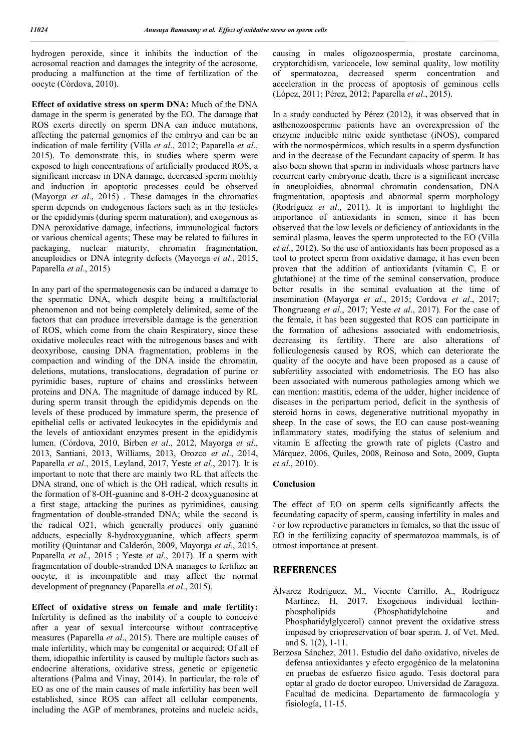hydrogen peroxide, since it inhibits the induction of the acrosomal reaction and damages the integrity of the acrosome, producing a malfunction at the time of fertilization of the oocyte (Córdova, 2010).

**Effect of oxidative stress on sperm DNA:** Much of the DNA damage in the sperm is generated by the EO. The damage that ROS exerts directly on sperm DNA can induce mutations, affecting the paternal genomics of the embryo and can be an indication of male fertility (Villa *et al*., 2012; Paparella *et al*., 2015). To demonstrate this, in studies where sperm were exposed to high concentrations of artificially produced ROS, a significant increase in DNA damage, decreased sperm motility and induction in apoptotic processes could be observed (Mayorga *et al*., 2015) . These damages in the chromatics sperm depends on endogenous factors such as in the testicles or the epididymis (during sperm maturation), and exogenous as DNA peroxidative damage, infections, immunological factors or various chemical agents; These may be related to failures in packaging, nuclear maturity, chromatin fragmentation, aneuploidies or DNA integrity defects (Mayorga *et al*., 2015, Paparella *et al*., 2015)

In any part of the spermatogenesis can be induced a damage to the spermatic DNA, which despite being a multifactorial phenomenon and not being completely delimited, some of the factors that can produce irreversible damage is the generation of ROS, which come from the chain Respiratory, since these oxidative molecules react with the nitrogenous bases and with deoxyribose, causing DNA fragmentation, problems in the compaction and winding of the DNA inside the chromatin, deletions, mutations, translocations, degradation of purine or pyrimidic bases, rupture of chains and crosslinks between proteins and DNA. The magnitude of damage induced by RL during sperm transit through the epididymis depends on the levels of these produced by immature sperm, the presence of epithelial cells or activated leukocytes in the epididymis and the levels of antioxidant enzymes present in the epididymis lumen. (Córdova, 2010, Birben *et al*., 2012, Mayorga *et al*., 2013, Santiani, 2013, Williams, 2013, Orozco *et al*., 2014, Paparella *et al*., 2015, Leyland, 2017, Yeste *et al*., 2017). It is important to note that there are mainly two RL that affects the DNA strand, one of which is the OH radical, which results in the formation of 8-OH-guanine and 8-OH-2 deoxyguanosine at a first stage, attacking the purines as pyrimidines, causing fragmentation of double-stranded DNA; while the second is the radical O21, which generally produces only guanine adducts, especially 8-hydroxyguanine, which affects sperm motility (Quintanar and Calderón, 2009, Mayorga *et al*., 2015, Paparella *et al*., 2015 ; Yeste *et al*., 2017). If a sperm with fragmentation of double-stranded DNA manages to fertilize an oocyte, it is incompatible and may affect the normal development of pregnancy (Paparella *et al*., 2015).

**Effect of oxidative stress on female and male fertility:**  Infertility is defined as the inability of a couple to conceive after a year of sexual intercourse without contraceptive measures (Paparella *et al*., 2015). There are multiple causes of male infertility, which may be congenital or acquired; Of all of them, idiopathic infertility is caused by multiple factors such as endocrine alterations, oxidative stress, genetic or epigenetic alterations (Palma and Vinay, 2014). In particular, the role of EO as one of the main causes of male infertility has been well established, since ROS can affect all cellular components, including the AGP of membranes, proteins and nucleic acids,

causing in males oligozoospermia, prostate carcinoma, cryptorchidism, varicocele, low seminal quality, low motility of spermatozoa, decreased sperm concentration and acceleration in the process of apoptosis of geminous cells (López, 2011; Pérez, 2012; Paparella *et al*., 2015).

In a study conducted by Pérez (2012), it was observed that in asthenozoospermic patients have an overexpression of the enzyme inducible nitric oxide synthetase (iNOS), compared with the normospérmicos, which results in a sperm dysfunction and in the decrease of the Fecundant capacity of sperm. It has also been shown that sperm in individuals whose partners have recurrent early embryonic death, there is a significant increase in aneuploidies, abnormal chromatin condensation, DNA fragmentation, apoptosis and abnormal sperm morphology (Rodríguez *et al*., 2011). It is important to highlight the importance of antioxidants in semen, since it has been observed that the low levels or deficiency of antioxidants in the seminal plasma, leaves the sperm unprotected to the EO (Villa *et al*., 2012). So the use of antioxidants has been proposed as a tool to protect sperm from oxidative damage, it has even been proven that the addition of antioxidants (vitamin C, E or glutathione) at the time of the seminal conservation, produce better results in the seminal evaluation at the time of insemination (Mayorga *et al*., 2015; Cordova *et al*., 2017; Thongrueang *et al*., 2017; Yeste *et al*., 2017). For the case of the female, it has been suggested that ROS can participate in the formation of adhesions associated with endometriosis, decreasing its fertility. There are also alterations of folliculogenesis caused by ROS, which can deteriorate the quality of the oocyte and have been proposed as a cause of subfertility associated with endometriosis. The EO has also been associated with numerous pathologies among which we can mention: mastitis, edema of the udder, higher incidence of diseases in the peripartum period, deficit in the synthesis of steroid horns in cows, degenerative nutritional myopathy in sheep. In the case of sows, the EO can cause post-weaning inflammatory states, modifying the status of selenium and vitamin E affecting the growth rate of piglets (Castro and Márquez, 2006, Quiles, 2008, Reinoso and Soto, 2009, Gupta *et al*., 2010).

### **Conclusion**

The effect of EO on sperm cells significantly affects the fecundating capacity of sperm, causing infertility in males and / or low reproductive parameters in females, so that the issue of EO in the fertilizing capacity of spermatozoa mammals, is of utmost importance at present.

## **REFERENCES**

- Álvarez Rodríguez, M., Vicente Carrillo, A., Rodríguez Martínez, H, 2017. Exogenous individual lecthinphospholipids (Phosphatidylchoine and Phosphatidylglycerol) cannot prevent the oxidative stress imposed by criopreservation of boar sperm. J. of Vet. Med. and S. 1(2), 1-11.
- Berzosa Sánchez, 2011. Estudio del daño oxidativo, niveles de defensa antioxidantes y efecto ergogénico de la melatonina en pruebas de esfuerzo físico agudo. Tesis doctoral para optar al grado de doctor europeo. Universidad de Zaragoza. Facultad de medicina. Departamento de farmacología y fisiología, 11-15.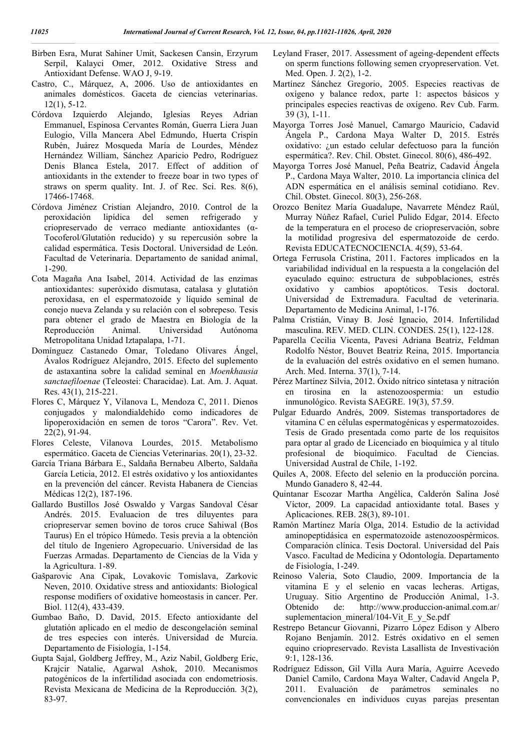- Birben Esra, Murat Sahiner Umit, Sackesen Cansin, Erzyrum Serpil, Kalayci Omer, 2012. Oxidative Stress and Antioxidant Defense. WAO J, 9-19.
- Castro, C., Márquez, A, 2006. Uso de antioxidantes en animales domésticos. Gaceta de ciencias veterinarias. 12(1), 5-12.
- Córdova Izquierdo Alejando, Iglesias Reyes Adrian Emmanuel, Espinosa Cervantes Román, Guerra Liera Juan Eulogio, Villa Mancera Abel Edmundo, Huerta Crispín Rubén, Juárez Mosqueda María de Lourdes, Méndez Hernández William, Sánchez Aparicio Pedro, Rodríguez Denis Blanca Estela, 2017. Effect of addition of antioxidants in the extender to freeze boar in two types of straws on sperm quality. Int. J. of Rec. Sci. Res. 8(6), 17466-17468.
- Córdova Jiménez Cristian Alejandro, 2010. Control de la peroxidación lipídica del semen refrigerado y criopreservado de verraco mediante antioxidantes (α-Tocoferol/Glutatión reducido) y su repercusión sobre la calidad espermática. Tesis Doctoral. Universidad de León. Facultad de Veterinaria. Departamento de sanidad animal, 1-290.
- Cota Magaña Ana Isabel, 2014. Actividad de las enzimas antioxidantes: superóxido dismutasa, catalasa y glutatión peroxidasa, en el espermatozoide y líquido seminal de conejo nueva Zelanda y su relación con el sobrepeso. Tesis para obtener el grado de Maestra en Biología de la Reproducción Animal. Universidad Autónoma Metropolitana Unidad Iztapalapa, 1-71.
- Domínguez Castanedo Omar, Toledano Olivares Ángel, Ávalos Rodríguez Alejandro, 2015. Efecto del suplemento de astaxantina sobre la calidad seminal en *Moenkhausia sanctaefiloenae* (Teleostei: Characidae). Lat. Am. J. Aquat. Res. 43(1), 215-221.
- Flores C, Márquez Y, Vilanova L, Mendoza C, 2011. Dienos conjugados y malondialdehído como indicadores de lipoperoxidación en semen de toros "Carora". Rev. Vet. 22(2), 91-94.
- Flores Celeste, Vilanova Lourdes, 2015. Metabolismo espermático. Gaceta de Ciencias Veterinarias. 20(1), 23-32.
- García Triana Bárbara E., Saldaña Bernabeu Alberto, Saldaña García Leticia, 2012. El estrés oxidativo y los antioxidantes en la prevención del cáncer. Revista Habanera de Ciencias Médicas 12(2), 187-196.
- Gallardo Bustillos José Oswaldo y Vargas Sandoval César Andrés. 2015. Evaluacion de tres diluyentes para criopreservar semen bovino de toros cruce Sahiwal (Bos Taurus) En el trópico Húmedo. Tesis previa a la obtención del título de Ingeniero Agropecuario. Universidad de las Fuerzas Armadas. Departamento de Ciencias de la Vida y la Agricultura. 1-89.
- Gašparovic Ana Cipak, Lovakovic Tomislava, Zarkovic Neven, 2010. Oxidative stress and antioxidants: Biological response modifiers of oxidative homeostasis in cancer. Per. Biol. 112(4), 433-439.
- Gumbao Baño, D. David, 2015. Efecto antioxidante del glutatión aplicado en el medio de descongelación seminal de tres especies con interés. Universidad de Murcia. Departamento de Fisiología, 1-154.
- Gupta Sajal, Goldberg Jeffrey, M., Aziz Nabil, Goldberg Eric, Krajcir Natalie, Agarwal Ashok, 2010. Mecanismos patogénicos de la infertilidad asociada con endometriosis. Revista Mexicana de Medicina de la Reproducción. 3(2), 83-97.
- Leyland Fraser, 2017. Assessment of ageing-dependent effects on sperm functions following semen cryopreservation. Vet. Med. Open. J. 2(2), 1-2.
- Martínez Sánchez Gregorio, 2005. Especies reactivas de oxígeno y balance redox, parte 1: aspectos básicos y principales especies reactivas de oxígeno. Rev Cub. Farm. 39 (3), 1-11.
- Mayorga Torres José Manuel, Camargo Mauricio, Cadavid Ángela P., Cardona Maya Walter D, 2015. Estrés oxidativo: ¿un estado celular defectuoso para la función espermática?. Rev. Chil. Obstet. Ginecol. 80(6), 486-492.
- Mayorga Torres José Manuel, Peña Beatriz, Cadavid Ángela P., Cardona Maya Walter, 2010. La importancia clínica del ADN espermática en el análisis seminal cotidiano. Rev. Chil. Obstet. Ginecol. 80(3), 256-268.
- Orozco Benítez María Guadalupe, Navarrete Méndez Raúl, Murray Núñez Rafael, Curiel Pulido Edgar, 2014. Efecto de la temperatura en el proceso de criopreservación, sobre la motilidad progresiva del espermatozoide de cerdo. Revista EDUCATECNOCIENCIA. 4(59), 53-64.
- Ortega Ferrusola Cristina, 2011. Factores implicados en la variabilidad individual en la respuesta a la congelación del eyaculado equino: estructura de subpoblaciones, estrés oxidativo y cambios apoptóticos. Tesis doctoral. Universidad de Extremadura. Facultad de veterinaria. Departamento de Medicina Animal, 1-176.
- Palma Cristián, Vinay B. José Ignacio, 2014. Infertilidad masculina. REV. MED. CLIN. CONDES. 25(1), 122-128.
- Paparella Cecilia Vicenta, Pavesi Adriana Beatriz, Feldman Rodolfo Néstor, Bouvet Beatriz Reina, 2015. Importancia de la evaluación del estrés oxidativo en el semen humano. Arch. Med. Interna. 37(1), 7-14.
- Pérez Martínez Silvia, 2012. Óxido nítrico sintetasa y nitración en tirosina en la astenozoospermia: un estudio inmunológico. Revista SAEGRE. 19(3), 57.59.
- Pulgar Eduardo Andrés, 2009. Sistemas transportadores de vitamina C en células espermatogénicas y espermatozoides. Tesis de Grado presentada como parte de los requisitos para optar al grado de Licenciado en bioquímica y al título profesional de bioquímico. Facultad de Ciencias. Universidad Austral de Chile, 1-192.
- Quiles A, 2008. Efecto del selenio en la producción porcina. Mundo Ganadero 8, 42-44.
- Quintanar Escozar Martha Angélica, Calderón Salina José Víctor, 2009. La capacidad antioxidante total. Bases y Aplicaciones. REB. 28(3), 89-101.
- Ramón Martínez María Olga, 2014. Estudio de la actividad aminopeptidásica en espermatozoide astenozoospérmicos. Comparación clínica. Tesis Doctoral. Universidad del País Vasco. Facultad de Medicina y Odontología. Departamento de Fisiología, 1-249.
- Reinoso Valeria, Soto Claudio, 2009. Importancia de la vitamina E y el selenio en vacas lecheras. Artigas, Uruguay. Sitio Argentino de Producción Animal, 1-3. Obtenido de: http://www.produccion-animal.com.ar/ suplementacion\_mineral/104-Vit\_E\_y\_Se.pdf
- Restrepo Betancur Giovanni, Pizarro López Edison y Albero Rojano Benjamín. 2012. Estrés oxidativo en el semen equino criopreservado. Revista Lasallista de Investivación 9:1, 128-136.
- Rodríguez Edisson, Gil Villa Aura María, Aguirre Acevedo Daniel Camilo, Cardona Maya Walter, Cadavid Angela P, 2011. Evaluación de parámetros seminales no convencionales en individuos cuyas parejas presentan